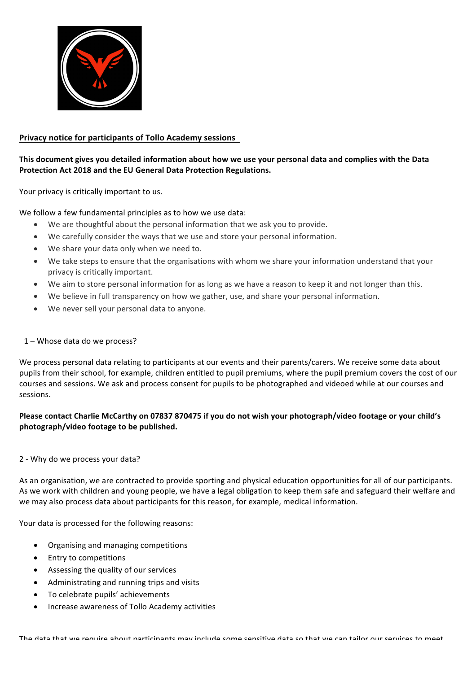

# **Privacy notice for participants of Tollo Academy sessions**

### This document gives you detailed information about how we use your personal data and complies with the Data **Protection Act 2018 and the EU General Data Protection Regulations.**

Your privacy is critically important to us.

We follow a few fundamental principles as to how we use data:

- We are thoughtful about the personal information that we ask you to provide.
- We carefully consider the ways that we use and store your personal information.
- We share your data only when we need to.
- We take steps to ensure that the organisations with whom we share your information understand that your privacy is critically important.
- We aim to store personal information for as long as we have a reason to keep it and not longer than this.
- We believe in full transparency on how we gather, use, and share your personal information.
- We never sell your personal data to anyone.

### $1 -$  Whose data do we process?

We process personal data relating to participants at our events and their parents/carers. We receive some data about pupils from their school, for example, children entitled to pupil premiums, where the pupil premium covers the cost of our courses and sessions. We ask and process consent for pupils to be photographed and videoed while at our courses and sessions. 

## Please contact Charlie McCarthy on 07837 870475 if you do not wish your photograph/video footage or your child's photograph/video footage to be published.

### 2 - Why do we process your data?

As an organisation, we are contracted to provide sporting and physical education opportunities for all of our participants. As we work with children and young people, we have a legal obligation to keep them safe and safeguard their welfare and we may also process data about participants for this reason, for example, medical information.

Your data is processed for the following reasons:

- Organising and managing competitions
- Entry to competitions
- Assessing the quality of our services
- Administrating and running trips and visits
- To celebrate pupils' achievements
- Increase awareness of Tollo Academy activities

The data that we require about narticinants may include some sensitive data so that we can tailor our services to meet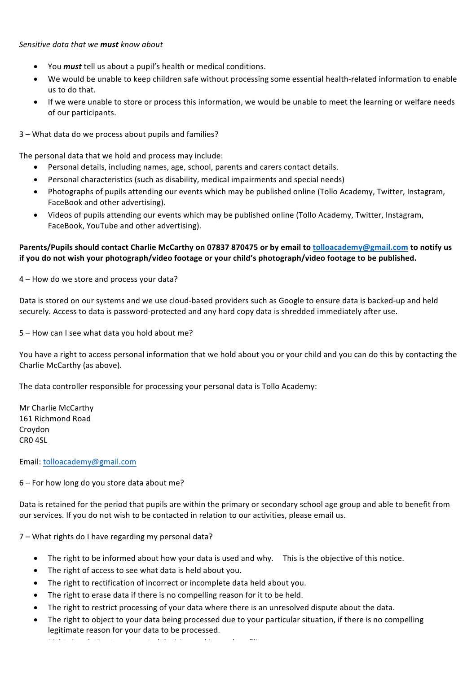### *Sensitive data that we must know about*

- You *must* tell us about a pupil's health or medical conditions.
- We would be unable to keep children safe without processing some essential health-related information to enable us to do that.
- If we were unable to store or process this information, we would be unable to meet the learning or welfare needs of our participants.

3 – What data do we process about pupils and families?

The personal data that we hold and process may include:

- Personal details, including names, age, school, parents and carers contact details.
- Personal characteristics (such as disability, medical impairments and special needs)
- Photographs of pupils attending our events which may be published online (Tollo Academy, Twitter, Instagram, FaceBook and other advertising).
- Videos of pupils attending our events which may be published online (Tollo Academy, Twitter, Instagram, FaceBook, YouTube and other advertising).

## Parents/Pupils should contact Charlie McCarthy on 07837 870475 or by email to tolloacademy@gmail.com to notify us if you do not wish your photograph/video footage or your child's photograph/video footage to be published.

4 – How do we store and process your data?

Data is stored on our systems and we use cloud-based providers such as Google to ensure data is backed-up and held securely. Access to data is password-protected and any hard copy data is shredded immediately after use.

5 – How can I see what data you hold about me?

You have a right to access personal information that we hold about you or your child and you can do this by contacting the Charlie McCarthy (as above).

The data controller responsible for processing your personal data is Tollo Academy:

Mr Charlie McCarthy 161 Richmond Road Croydon CR0 4SL

Email: tolloacademy@gmail.com

 $6$  – For how long do you store data about me?

Data is retained for the period that pupils are within the primary or secondary school age group and able to benefit from our services. If you do not wish to be contacted in relation to our activities, please email us.

7 – What rights do I have regarding my personal data?

- The right to be informed about how your data is used and why. This is the objective of this notice.
- The right of access to see what data is held about you.
- The right to rectification of incorrect or incomplete data held about vou.
- The right to erase data if there is no compelling reason for it to be held.
- The right to restrict processing of your data where there is an unresolved dispute about the data.
- The right to object to your data being processed due to your particular situation, if there is no compelling legitimate reason for your data to be processed.